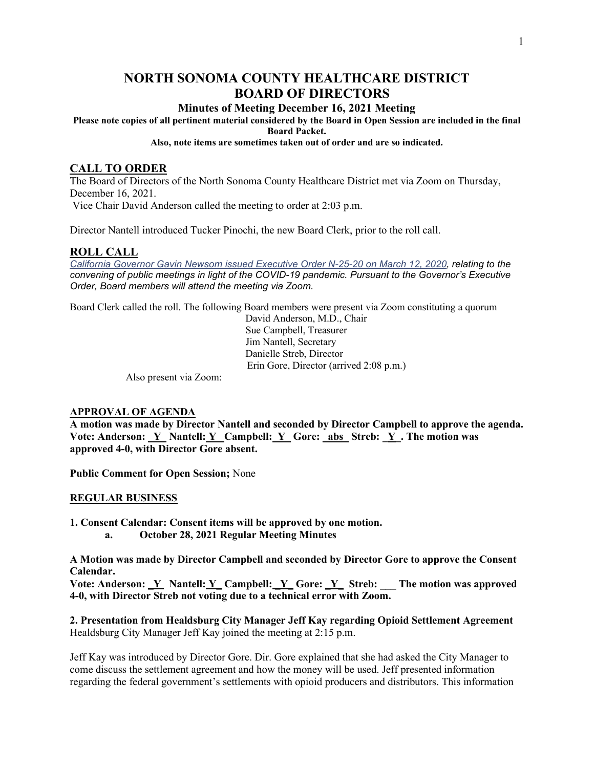# **NORTH SONOMA COUNTY HEALTHCARE DISTRICT BOARD OF DIRECTORS**

# **Minutes of Meeting December 16, 2021 Meeting**

**Please note copies of all pertinent material considered by the Board in Open Session are included in the final** 

**Board Packet.** 

**Also, note items are sometimes taken out of order and are so indicated.**

# **CALL TO ORDER**

The Board of Directors of the North Sonoma County Healthcare District met via Zoom on Thursday, December 16, 2021. Vice Chair David Anderson called the meeting to order at 2:03 p.m.

Director Nantell introduced Tucker Pinochi, the new Board Clerk, prior to the roll call.

# **ROLL CALL**

*[California Governor Gavin Newsom issued Executive Order N-25-20 on March 12, 2020,](https://www.gov.ca.gov/2020/03/12/governor-newsom-issues-new-executive-order-further-enhancing-state-and-local-governments-ability-to-respond-to-covid-19-pandemic/) relating to the convening of public meetings in light of the COVID-19 pandemic. Pursuant to the Governor's Executive Order, Board members will attend the meeting via Zoom.*

Board Clerk called the roll. The following Board members were present via Zoom constituting a quorum

 David Anderson, M.D., Chair Sue Campbell, Treasurer Jim Nantell, Secretary Danielle Streb, Director Erin Gore, Director (arrived 2:08 p.m.)

Also present via Zoom:

# **APPROVAL OF AGENDA**

**A motion was made by Director Nantell and seconded by Director Campbell to approve the agenda. Vote: Anderson: \_Y Nantell: Y\_ Campbell: Y\_ Gore: \_abs\_ Streb: \_Y\_. The motion was approved 4-0, with Director Gore absent.** 

**Public Comment for Open Session;** None

# **REGULAR BUSINESS**

**1. Consent Calendar: Consent items will be approved by one motion.** 

**a. October 28, 2021 Regular Meeting Minutes**

**A Motion was made by Director Campbell and seconded by Director Gore to approve the Consent Calendar.**

**Vote: Anderson: \_Y Nantell: Y\_ Campbell: \_Y\_ Gore: \_Y\_ Streb: \_\_\_ The motion was approved 4-0, with Director Streb not voting due to a technical error with Zoom.**

**2. Presentation from Healdsburg City Manager Jeff Kay regarding Opioid Settlement Agreement** Healdsburg City Manager Jeff Kay joined the meeting at 2:15 p.m.

Jeff Kay was introduced by Director Gore. Dir. Gore explained that she had asked the City Manager to come discuss the settlement agreement and how the money will be used. Jeff presented information regarding the federal government's settlements with opioid producers and distributors. This information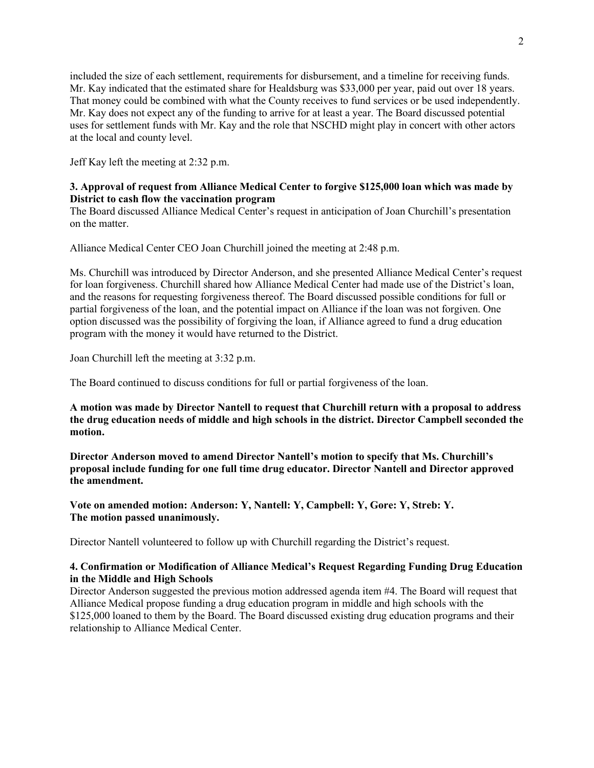included the size of each settlement, requirements for disbursement, and a timeline for receiving funds. Mr. Kay indicated that the estimated share for Healdsburg was \$33,000 per year, paid out over 18 years. That money could be combined with what the County receives to fund services or be used independently. Mr. Kay does not expect any of the funding to arrive for at least a year. The Board discussed potential uses for settlement funds with Mr. Kay and the role that NSCHD might play in concert with other actors at the local and county level.

Jeff Kay left the meeting at 2:32 p.m.

# **3. Approval of request from Alliance Medical Center to forgive \$125,000 loan which was made by District to cash flow the vaccination program**

The Board discussed Alliance Medical Center's request in anticipation of Joan Churchill's presentation on the matter.

Alliance Medical Center CEO Joan Churchill joined the meeting at 2:48 p.m.

Ms. Churchill was introduced by Director Anderson, and she presented Alliance Medical Center's request for loan forgiveness. Churchill shared how Alliance Medical Center had made use of the District's loan, and the reasons for requesting forgiveness thereof. The Board discussed possible conditions for full or partial forgiveness of the loan, and the potential impact on Alliance if the loan was not forgiven. One option discussed was the possibility of forgiving the loan, if Alliance agreed to fund a drug education program with the money it would have returned to the District.

Joan Churchill left the meeting at 3:32 p.m.

The Board continued to discuss conditions for full or partial forgiveness of the loan.

**A motion was made by Director Nantell to request that Churchill return with a proposal to address the drug education needs of middle and high schools in the district. Director Campbell seconded the motion.** 

**Director Anderson moved to amend Director Nantell's motion to specify that Ms. Churchill's proposal include funding for one full time drug educator. Director Nantell and Director approved the amendment.** 

**Vote on amended motion: Anderson: Y, Nantell: Y, Campbell: Y, Gore: Y, Streb: Y. The motion passed unanimously.** 

Director Nantell volunteered to follow up with Churchill regarding the District's request.

# **4. Confirmation or Modification of Alliance Medical's Request Regarding Funding Drug Education in the Middle and High Schools**

Director Anderson suggested the previous motion addressed agenda item #4. The Board will request that Alliance Medical propose funding a drug education program in middle and high schools with the \$125,000 loaned to them by the Board. The Board discussed existing drug education programs and their relationship to Alliance Medical Center.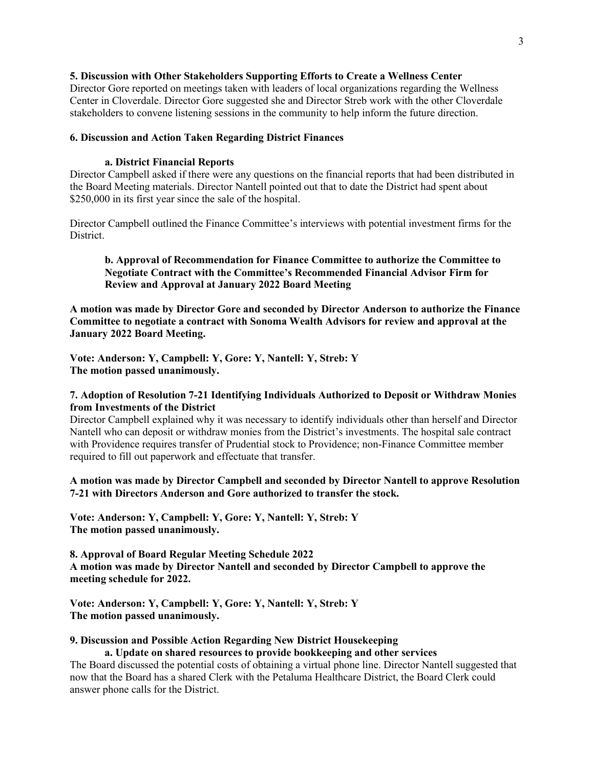#### **5. Discussion with Other Stakeholders Supporting Efforts to Create a Wellness Center**

Director Gore reported on meetings taken with leaders of local organizations regarding the Wellness Center in Cloverdale. Director Gore suggested she and Director Streb work with the other Cloverdale stakeholders to convene listening sessions in the community to help inform the future direction.

#### **6. Discussion and Action Taken Regarding District Finances**

#### **a. District Financial Reports**

Director Campbell asked if there were any questions on the financial reports that had been distributed in the Board Meeting materials. Director Nantell pointed out that to date the District had spent about \$250,000 in its first year since the sale of the hospital.

Director Campbell outlined the Finance Committee's interviews with potential investment firms for the District.

### **b. Approval of Recommendation for Finance Committee to authorize the Committee to Negotiate Contract with the Committee's Recommended Financial Advisor Firm for Review and Approval at January 2022 Board Meeting**

**A motion was made by Director Gore and seconded by Director Anderson to authorize the Finance Committee to negotiate a contract with Sonoma Wealth Advisors for review and approval at the January 2022 Board Meeting.** 

**Vote: Anderson: Y, Campbell: Y, Gore: Y, Nantell: Y, Streb: Y The motion passed unanimously.** 

# **7. Adoption of Resolution 7-21 Identifying Individuals Authorized to Deposit or Withdraw Monies from Investments of the District**

Director Campbell explained why it was necessary to identify individuals other than herself and Director Nantell who can deposit or withdraw monies from the District's investments. The hospital sale contract with Providence requires transfer of Prudential stock to Providence; non-Finance Committee member required to fill out paperwork and effectuate that transfer.

# **A motion was made by Director Campbell and seconded by Director Nantell to approve Resolution 7-21 with Directors Anderson and Gore authorized to transfer the stock.**

**Vote: Anderson: Y, Campbell: Y, Gore: Y, Nantell: Y, Streb: Y The motion passed unanimously.** 

**8. Approval of Board Regular Meeting Schedule 2022 A motion was made by Director Nantell and seconded by Director Campbell to approve the meeting schedule for 2022.** 

**Vote: Anderson: Y, Campbell: Y, Gore: Y, Nantell: Y, Streb: Y The motion passed unanimously.** 

# **9. Discussion and Possible Action Regarding New District Housekeeping**

**a. Update on shared resources to provide bookkeeping and other services** The Board discussed the potential costs of obtaining a virtual phone line. Director Nantell suggested that now that the Board has a shared Clerk with the Petaluma Healthcare District, the Board Clerk could answer phone calls for the District.